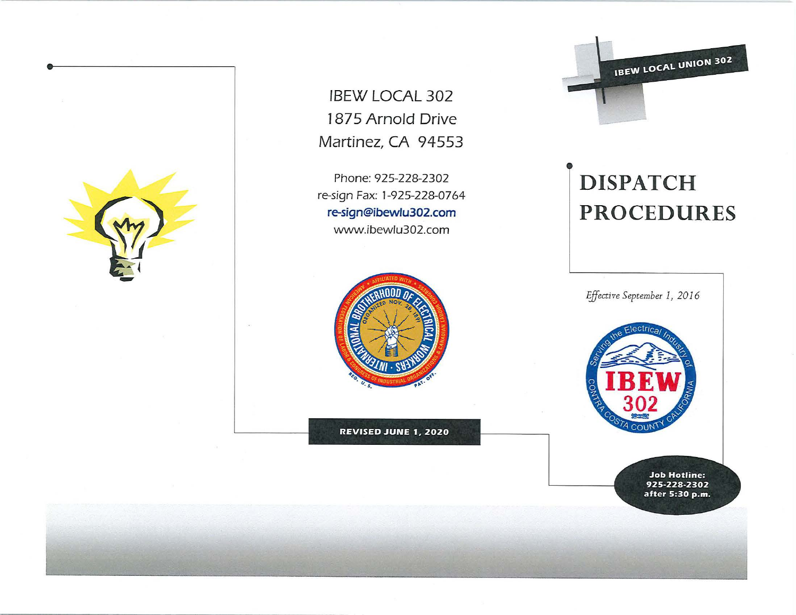

!BEW LOCAL 302 1875 Arnold Drive Martinez, CA 94553

Phone: 925-228-2302 re-sign Fax: 1-925-228-07 64 **re-sign@ibewlu302.com**  www.ibewlu302.com



**REVISED JUNE 1, 2020** 

**IBEW LOCAL UNION 302** 

# **D ISPATCH PROCEDURES**

D

*Fjfective September I, 20 I 6* 



**Job Hotline: 925-228-2302 after 5:30 p.m.**